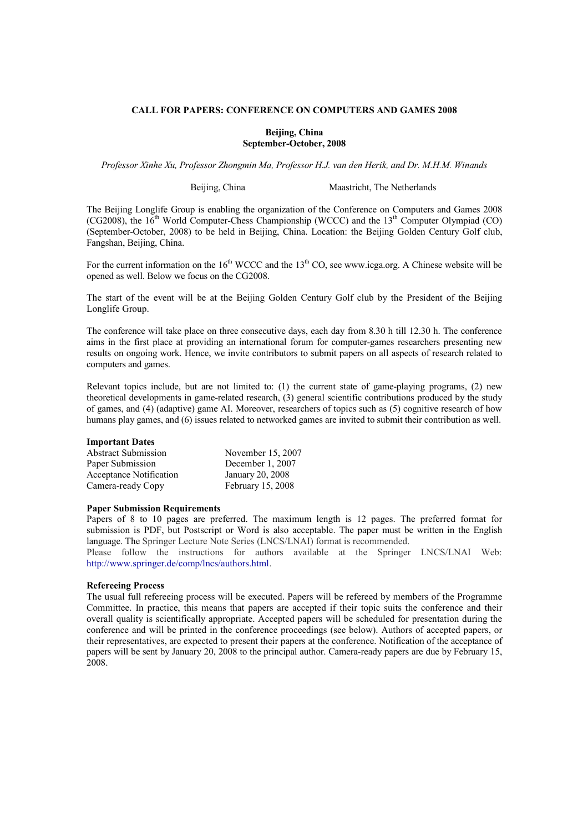## CALL FOR PAPERS: CONFERENCE ON COMPUTERS AND GAMES 2008

### Beijing, China September-October, 2008

Professor Xinhe Xu, Professor Zhongmin Ma, Professor H.J. van den Herik, and Dr. M.H.M. Winands

Beijing, China Maastricht, The Netherlands

The Beijing Longlife Group is enabling the organization of the Conference on Computers and Games 2008 (CG2008), the  $16<sup>th</sup>$  World Computer-Chess Championship (WCCC) and the  $13<sup>th</sup>$  Computer Olympiad (CO) (September-October, 2008) to be held in Beijing, China. Location: the Beijing Golden Century Golf club, Fangshan, Beijing, China.

For the current information on the  $16<sup>th</sup> WCCC$  and the  $13<sup>th</sup> CO$ , see www.icga.org. A Chinese website will be opened as well. Below we focus on the CG2008.

The start of the event will be at the Beijing Golden Century Golf club by the President of the Beijing Longlife Group.

The conference will take place on three consecutive days, each day from 8.30 h till 12.30 h. The conference aims in the first place at providing an international forum for computer-games researchers presenting new results on ongoing work. Hence, we invite contributors to submit papers on all aspects of research related to computers and games.

Relevant topics include, but are not limited to: (1) the current state of game-playing programs, (2) new theoretical developments in game-related research, (3) general scientific contributions produced by the study of games, and (4) (adaptive) game AI. Moreover, researchers of topics such as (5) cognitive research of how humans play games, and (6) issues related to networked games are invited to submit their contribution as well.

### Important Dates

| <b>Abstract Submission</b> | November 15, 2007 |
|----------------------------|-------------------|
| Paper Submission           | December 1, 2007  |
| Acceptance Notification    | January 20, 2008  |
| Camera-ready Copy          | February 15, 2008 |

### Paper Submission Requirements

Papers of 8 to 10 pages are preferred. The maximum length is 12 pages. The preferred format for submission is PDF, but Postscript or Word is also acceptable. The paper must be written in the English language. The Springer Lecture Note Series (LNCS/LNAI) format is recommended.

Please follow the instructions for authors available at the Springer LNCS/LNAI Web: http://www.springer.de/comp/lncs/authors.html.

### Refereeing Process

The usual full refereeing process will be executed. Papers will be refereed by members of the Programme Committee. In practice, this means that papers are accepted if their topic suits the conference and their overall quality is scientifically appropriate. Accepted papers will be scheduled for presentation during the conference and will be printed in the conference proceedings (see below). Authors of accepted papers, or their representatives, are expected to present their papers at the conference. Notification of the acceptance of papers will be sent by January 20, 2008 to the principal author. Camera-ready papers are due by February 15, 2008.